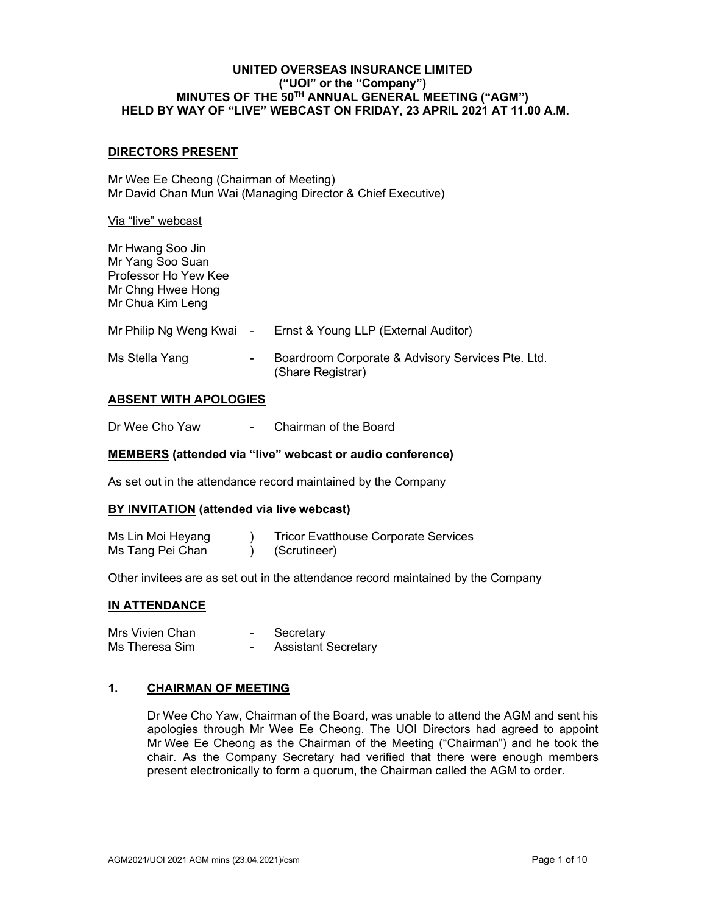### DIRECTORS PRESENT

Mr Wee Ee Cheong (Chairman of Meeting) Mr David Chan Mun Wai (Managing Director & Chief Executive)

#### Via "live" webcast

Mr Hwang Soo Jin Mr Yang Soo Suan Professor Ho Yew Kee Mr Chng Hwee Hong Mr Chua Kim Leng

| Mr Philip Ng Weng Kwai - |                          | Ernst & Young LLP (External Auditor)                                   |
|--------------------------|--------------------------|------------------------------------------------------------------------|
| Ms Stella Yang           | $\overline{\phantom{0}}$ | Boardroom Corporate & Advisory Services Pte. Ltd.<br>(Share Registrar) |

### ABSENT WITH APOLOGIES

Dr Wee Cho Yaw - Chairman of the Board

### MEMBERS (attended via "live" webcast or audio conference)

As set out in the attendance record maintained by the Company

#### BY INVITATION (attended via live webcast)

| Ms Lin Moi Heyang | <b>Tricor Evatthouse Corporate Services</b> |
|-------------------|---------------------------------------------|
| Ms Tang Pei Chan  | (Scrutineer)                                |

Other invitees are as set out in the attendance record maintained by the Company

#### IN ATTENDANCE

| Mrs Vivien Chan | Secretary                  |
|-----------------|----------------------------|
| Ms Theresa Sim  | <b>Assistant Secretary</b> |

### 1. CHAIRMAN OF MEETING

Dr Wee Cho Yaw, Chairman of the Board, was unable to attend the AGM and sent his apologies through Mr Wee Ee Cheong. The UOI Directors had agreed to appoint Mr Wee Ee Cheong as the Chairman of the Meeting ("Chairman") and he took the chair. As the Company Secretary had verified that there were enough members present electronically to form a quorum, the Chairman called the AGM to order.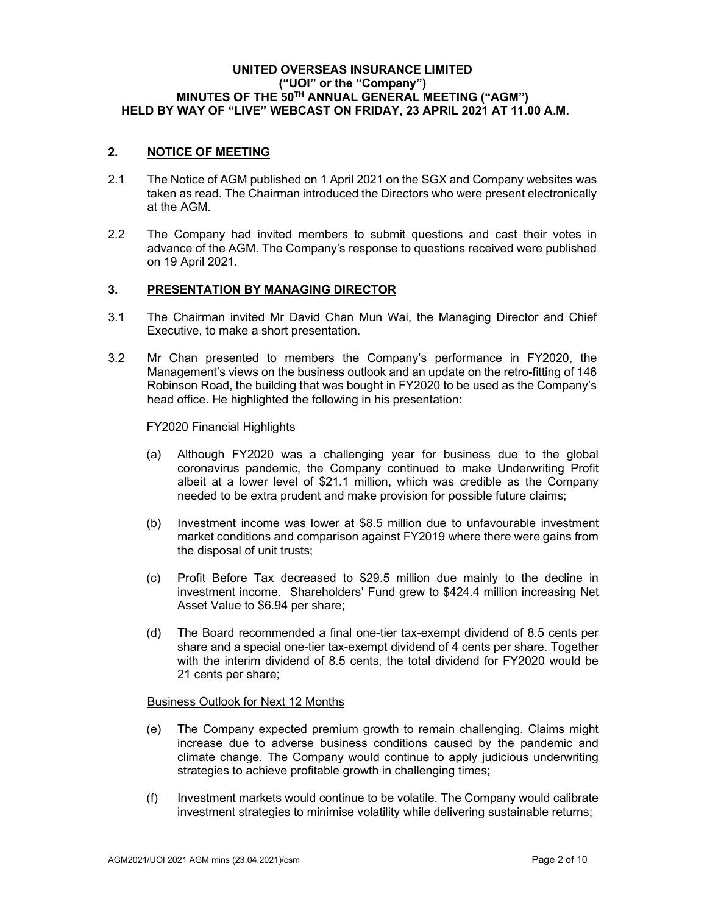## 2. NOTICE OF MEETING

- 2.1 The Notice of AGM published on 1 April 2021 on the SGX and Company websites was taken as read. The Chairman introduced the Directors who were present electronically at the AGM.
- 2.2 The Company had invited members to submit questions and cast their votes in advance of the AGM. The Company's response to questions received were published on 19 April 2021.

### 3. PRESENTATION BY MANAGING DIRECTOR

- 3.1 The Chairman invited Mr David Chan Mun Wai, the Managing Director and Chief Executive, to make a short presentation.
- 3.2 Mr Chan presented to members the Company's performance in FY2020, the Management's views on the business outlook and an update on the retro-fitting of 146 Robinson Road, the building that was bought in FY2020 to be used as the Company's head office. He highlighted the following in his presentation:

#### FY2020 Financial Highlights

- (a) Although FY2020 was a challenging year for business due to the global coronavirus pandemic, the Company continued to make Underwriting Profit albeit at a lower level of \$21.1 million, which was credible as the Company needed to be extra prudent and make provision for possible future claims;
- (b) Investment income was lower at \$8.5 million due to unfavourable investment market conditions and comparison against FY2019 where there were gains from the disposal of unit trusts;
- (c) Profit Before Tax decreased to \$29.5 million due mainly to the decline in investment income. Shareholders' Fund grew to \$424.4 million increasing Net Asset Value to \$6.94 per share;
- (d) The Board recommended a final one-tier tax-exempt dividend of 8.5 cents per share and a special one-tier tax-exempt dividend of 4 cents per share. Together with the interim dividend of 8.5 cents, the total dividend for FY2020 would be 21 cents per share;

#### Business Outlook for Next 12 Months

- (e) The Company expected premium growth to remain challenging. Claims might increase due to adverse business conditions caused by the pandemic and climate change. The Company would continue to apply judicious underwriting strategies to achieve profitable growth in challenging times;
- (f) Investment markets would continue to be volatile. The Company would calibrate investment strategies to minimise volatility while delivering sustainable returns;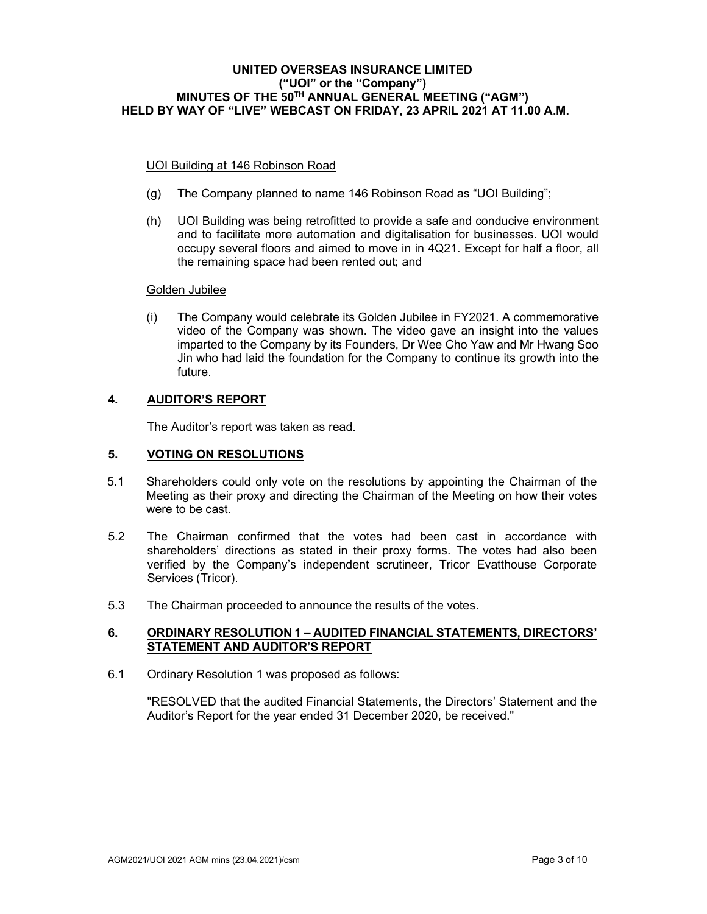### UOI Building at 146 Robinson Road

- (g) The Company planned to name 146 Robinson Road as "UOI Building";
- (h) UOI Building was being retrofitted to provide a safe and conducive environment and to facilitate more automation and digitalisation for businesses. UOI would occupy several floors and aimed to move in in 4Q21. Except for half a floor, all the remaining space had been rented out; and

### Golden Jubilee

(i) The Company would celebrate its Golden Jubilee in FY2021. A commemorative video of the Company was shown. The video gave an insight into the values imparted to the Company by its Founders, Dr Wee Cho Yaw and Mr Hwang Soo Jin who had laid the foundation for the Company to continue its growth into the future.

## 4. AUDITOR'S REPORT

The Auditor's report was taken as read.

### 5. VOTING ON RESOLUTIONS

- 5.1 Shareholders could only vote on the resolutions by appointing the Chairman of the Meeting as their proxy and directing the Chairman of the Meeting on how their votes were to be cast.
- 5.2 The Chairman confirmed that the votes had been cast in accordance with shareholders' directions as stated in their proxy forms. The votes had also been verified by the Company's independent scrutineer, Tricor Evatthouse Corporate Services (Tricor).
- 5.3 The Chairman proceeded to announce the results of the votes.

### 6. ORDINARY RESOLUTION 1 – AUDITED FINANCIAL STATEMENTS, DIRECTORS' STATEMENT AND AUDITOR'S REPORT

6.1 Ordinary Resolution 1 was proposed as follows:

"RESOLVED that the audited Financial Statements, the Directors' Statement and the Auditor's Report for the year ended 31 December 2020, be received."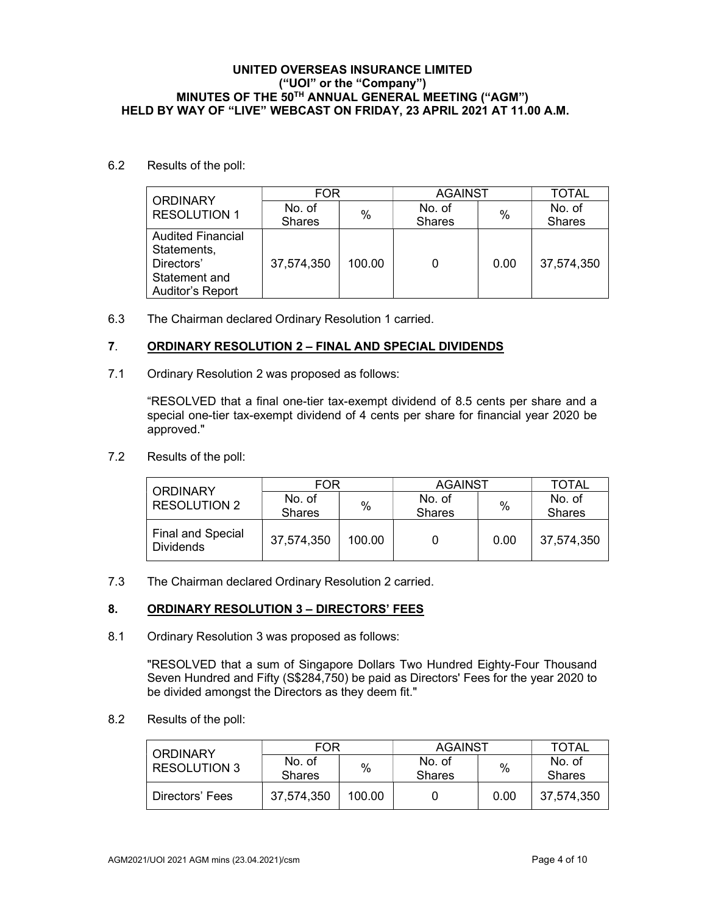### 6.2 Results of the poll:

| <b>ORDINARY</b>                                                                            | <b>FOR</b>    |        | <b>AGAINST</b> | <b>TOTAL</b> |               |
|--------------------------------------------------------------------------------------------|---------------|--------|----------------|--------------|---------------|
| <b>RESOLUTION 1</b>                                                                        | No. of        | $\%$   | No. of         | %            | No. of        |
|                                                                                            | <b>Shares</b> |        | <b>Shares</b>  |              | <b>Shares</b> |
| <b>Audited Financial</b><br>Statements,<br>Directors'<br>Statement and<br>Auditor's Report | 37,574,350    | 100.00 | 0              | 0.00         | 37,574,350    |

6.3 The Chairman declared Ordinary Resolution 1 carried.

## 7. ORDINARY RESOLUTION 2 – FINAL AND SPECIAL DIVIDENDS

7.1 Ordinary Resolution 2 was proposed as follows:

 "RESOLVED that a final one-tier tax-exempt dividend of 8.5 cents per share and a special one-tier tax-exempt dividend of 4 cents per share for financial year 2020 be approved."

7.2 Results of the poll:

| <b>ORDINARY</b>                              | <b>FOR</b>    |        | <b>AGAINST</b> | TOTAL |               |
|----------------------------------------------|---------------|--------|----------------|-------|---------------|
| <b>RESOLUTION 2</b>                          | No. of        | %      | No. of         | %     | No. of        |
|                                              | <b>Shares</b> |        | <b>Shares</b>  |       | <b>Shares</b> |
| <b>Final and Special</b><br><b>Dividends</b> | 37,574,350    | 100.00 |                | 0.00  | 37,574,350    |

7.3 The Chairman declared Ordinary Resolution 2 carried.

## 8. ORDINARY RESOLUTION 3 - DIRECTORS' FEES

8.1 Ordinary Resolution 3 was proposed as follows:

"RESOLVED that a sum of Singapore Dollars Two Hundred Eighty-Four Thousand Seven Hundred and Fifty (S\$284,750) be paid as Directors' Fees for the year 2020 to be divided amongst the Directors as they deem fit."

8.2 Results of the poll:

| <b>ORDINARY</b>     | FOR                     |        | AGAINST                 | <b>TOTAL</b> |                         |
|---------------------|-------------------------|--------|-------------------------|--------------|-------------------------|
| <b>RESOLUTION 3</b> | No. of<br><b>Shares</b> | $\%$   | No. of<br><b>Shares</b> | $\%$         | No. of<br><b>Shares</b> |
| Directors' Fees     | 37,574,350              | 100.00 |                         | 0.00         | 37,574,350              |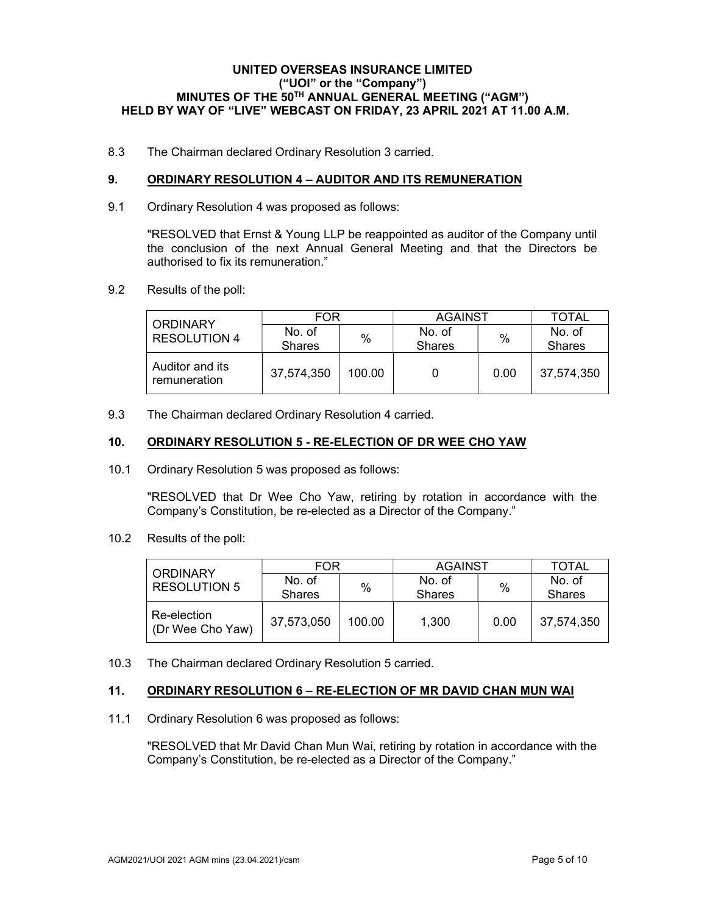8.3 The Chairman declared Ordinary Resolution 3 carried.

## 9. ORDINARY RESOLUTION 4 - AUDITOR AND ITS REMUNERATION

9.1 Ordinary Resolution 4 was proposed as follows:

"RESOLVED that Ernst & Young LLP be reappointed as auditor of the Company until the conclusion of the next Annual General Meeting and that the Directors be authorised to fix its remuneration."

9.2 Results of the poll:

| <b>ORDINARY</b>                 | FOR                     |        | <b>AGAINST</b>          |      | TOTAL                   |
|---------------------------------|-------------------------|--------|-------------------------|------|-------------------------|
| <b>RESOLUTION 4</b>             | No. of<br><b>Shares</b> | $\%$   | No. of<br><b>Shares</b> | %    | No. of<br><b>Shares</b> |
| Auditor and its<br>remuneration | 37,574,350              | 100.00 |                         | 0.00 | 37,574,350              |

9.3 The Chairman declared Ordinary Resolution 4 carried.

### 10. ORDINARY RESOLUTION 5 - RE-ELECTION OF DR WEE CHO YAW

10.1 Ordinary Resolution 5 was proposed as follows:

"RESOLVED that Dr Wee Cho Yaw, retiring by rotation in accordance with the Company's Constitution, be re-elected as a Director of the Company."

10.2 Results of the poll:

| <b>ORDINARY</b>                 | FOR           |        | <b>AGAINST</b> |      | TOTAL         |
|---------------------------------|---------------|--------|----------------|------|---------------|
| <b>RESOLUTION 5</b>             | No. of        | %      | No. of         | $\%$ | No. of        |
|                                 | <b>Shares</b> |        | <b>Shares</b>  |      | <b>Shares</b> |
| Re-election<br>(Dr Wee Cho Yaw) | 37,573,050    | 100.00 | 1,300          | 0.00 | 37,574,350    |

10.3 The Chairman declared Ordinary Resolution 5 carried.

## 11. ORDINARY RESOLUTION 6 – RE-ELECTION OF MR DAVID CHAN MUN WAI

11.1 Ordinary Resolution 6 was proposed as follows:

"RESOLVED that Mr David Chan Mun Wai, retiring by rotation in accordance with the Company's Constitution, be re-elected as a Director of the Company."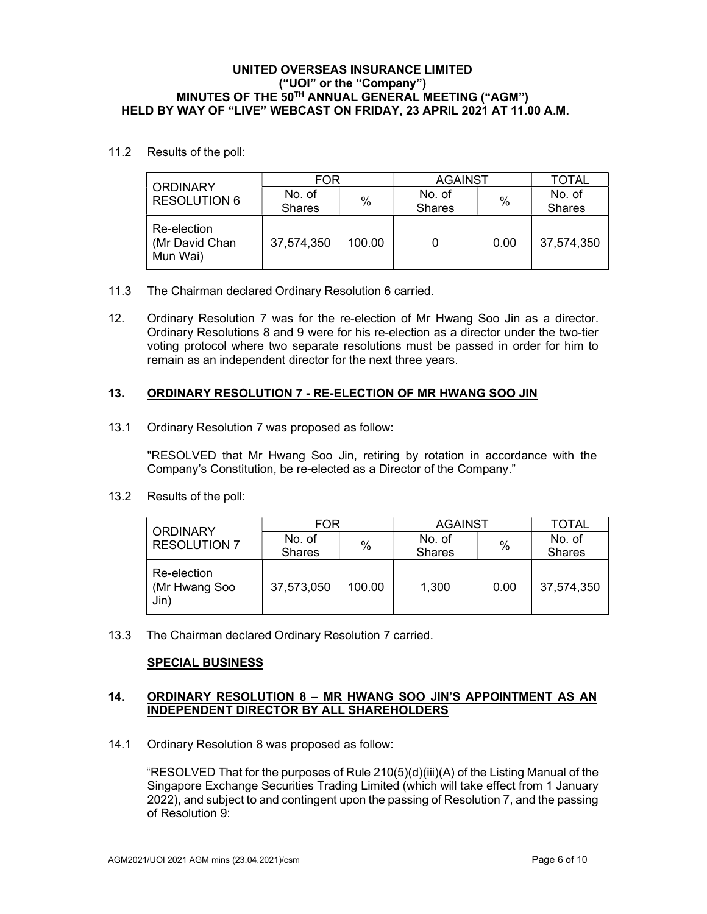11.2 Results of the poll:

| <b>ORDINARY</b>                           | FOR                     |        | <b>AGAINST</b>          | TOTAL |                         |
|-------------------------------------------|-------------------------|--------|-------------------------|-------|-------------------------|
| <b>RESOLUTION 6</b>                       | No. of<br><b>Shares</b> | %      | No. of<br><b>Shares</b> | $\%$  | No. of<br><b>Shares</b> |
| Re-election<br>(Mr David Chan<br>Mun Wai) | 37,574,350              | 100.00 |                         | 0.00  | 37,574,350              |

- 11.3 The Chairman declared Ordinary Resolution 6 carried.
- 12. Ordinary Resolution 7 was for the re-election of Mr Hwang Soo Jin as a director. Ordinary Resolutions 8 and 9 were for his re-election as a director under the two-tier voting protocol where two separate resolutions must be passed in order for him to remain as an independent director for the next three years.

## 13. ORDINARY RESOLUTION 7 - RE-ELECTION OF MR HWANG SOO JIN

13.1 Ordinary Resolution 7 was proposed as follow:

"RESOLVED that Mr Hwang Soo Jin, retiring by rotation in accordance with the Company's Constitution, be re-elected as a Director of the Company."

13.2 Results of the poll:

| <b>ORDINARY</b>                      | FOR                     |        | <b>AGAINST</b>          |      | TOTAL                   |
|--------------------------------------|-------------------------|--------|-------------------------|------|-------------------------|
| <b>RESOLUTION 7</b>                  | No. of<br><b>Shares</b> | %      | No. of<br><b>Shares</b> | $\%$ | No. of<br><b>Shares</b> |
| Re-election<br>(Mr Hwang Soo<br>Jin) | 37,573,050              | 100.00 | 1,300                   | 0.00 | 37,574,350              |

13.3 The Chairman declared Ordinary Resolution 7 carried.

## SPECIAL BUSINESS

### 14. ORDINARY RESOLUTION 8 – MR HWANG SOO JIN'S APPOINTMENT AS AN INDEPENDENT DIRECTOR BY ALL SHAREHOLDERS

14.1 Ordinary Resolution 8 was proposed as follow:

"RESOLVED That for the purposes of Rule 210(5)(d)(iii)(A) of the Listing Manual of the Singapore Exchange Securities Trading Limited (which will take effect from 1 January 2022), and subject to and contingent upon the passing of Resolution 7, and the passing of Resolution 9: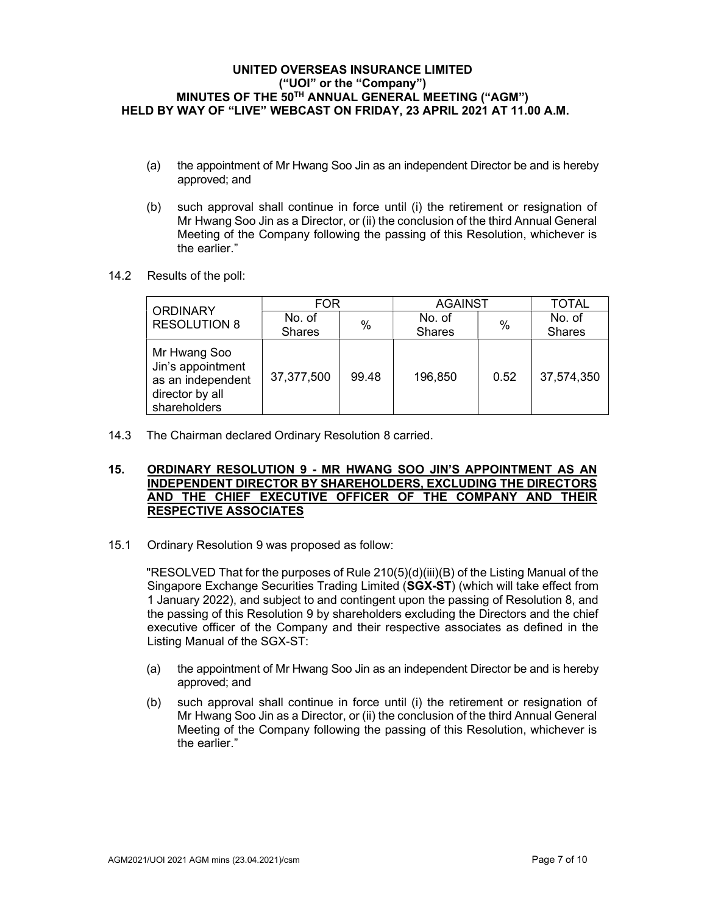- (a) the appointment of Mr Hwang Soo Jin as an independent Director be and is hereby approved; and
- (b) such approval shall continue in force until (i) the retirement or resignation of Mr Hwang Soo Jin as a Director, or (ii) the conclusion of the third Annual General Meeting of the Company following the passing of this Resolution, whichever is the earlier."
- 14.2 Results of the poll:

| <b>ORDINARY</b>                                                                           | <b>FOR</b>    |       | <b>AGAINST</b> | <b>TOTAL</b> |               |
|-------------------------------------------------------------------------------------------|---------------|-------|----------------|--------------|---------------|
| <b>RESOLUTION 8</b>                                                                       | No. of        | %     | No. of         | $\%$         | No. of        |
|                                                                                           | <b>Shares</b> |       | <b>Shares</b>  |              | <b>Shares</b> |
| Mr Hwang Soo<br>Jin's appointment<br>as an independent<br>director by all<br>shareholders | 37,377,500    | 99.48 | 196,850        | 0.52         | 37,574,350    |

14.3 The Chairman declared Ordinary Resolution 8 carried.

### 15. ORDINARY RESOLUTION 9 - MR HWANG SOO JIN'S APPOINTMENT AS AN INDEPENDENT DIRECTOR BY SHAREHOLDERS, EXCLUDING THE DIRECTORS AND THE CHIEF EXECUTIVE OFFICER OF THE COMPANY AND THEIR RESPECTIVE ASSOCIATES

15.1 Ordinary Resolution 9 was proposed as follow:

"RESOLVED That for the purposes of Rule 210(5)(d)(iii)(B) of the Listing Manual of the Singapore Exchange Securities Trading Limited (SGX-ST) (which will take effect from 1 January 2022), and subject to and contingent upon the passing of Resolution 8, and the passing of this Resolution 9 by shareholders excluding the Directors and the chief executive officer of the Company and their respective associates as defined in the Listing Manual of the SGX-ST:

- (a) the appointment of Mr Hwang Soo Jin as an independent Director be and is hereby approved; and
- (b) such approval shall continue in force until (i) the retirement or resignation of Mr Hwang Soo Jin as a Director, or (ii) the conclusion of the third Annual General Meeting of the Company following the passing of this Resolution, whichever is the earlier."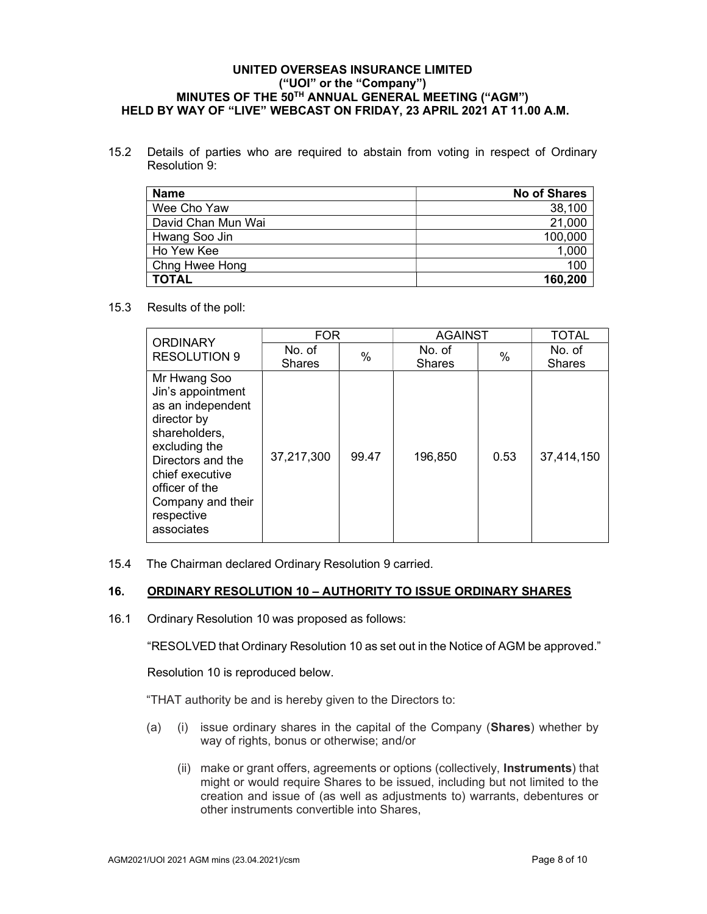15.2 Details of parties who are required to abstain from voting in respect of Ordinary Resolution 9:

| <b>Name</b>        | <b>No of Shares</b> |
|--------------------|---------------------|
| Wee Cho Yaw        | 38,100              |
| David Chan Mun Wai | 21,000              |
| Hwang Soo Jin      | 100,000             |
| Ho Yew Kee         | 1,000               |
| Chng Hwee Hong     | 100                 |
| <b>TOTAL</b>       | 160,200             |

15.3 Results of the poll:

| <b>ORDINARY</b><br><b>RESOLUTION 9</b>                                                                                                                                                                             | <b>FOR</b>    |       | <b>AGAINST</b> |      | <b>TOTAL</b>  |
|--------------------------------------------------------------------------------------------------------------------------------------------------------------------------------------------------------------------|---------------|-------|----------------|------|---------------|
|                                                                                                                                                                                                                    | No. of        | %     | No. of         | $\%$ | No. of        |
|                                                                                                                                                                                                                    | <b>Shares</b> |       | <b>Shares</b>  |      | <b>Shares</b> |
| Mr Hwang Soo<br>Jin's appointment<br>as an independent<br>director by<br>shareholders,<br>excluding the<br>Directors and the<br>chief executive<br>officer of the<br>Company and their<br>respective<br>associates | 37,217,300    | 99.47 | 196,850        | 0.53 | 37,414,150    |

15.4 The Chairman declared Ordinary Resolution 9 carried.

## 16. ORDINARY RESOLUTION 10 – AUTHORITY TO ISSUE ORDINARY SHARES

16.1 Ordinary Resolution 10 was proposed as follows:

"RESOLVED that Ordinary Resolution 10 as set out in the Notice of AGM be approved."

Resolution 10 is reproduced below.

"THAT authority be and is hereby given to the Directors to:

- (a) (i) issue ordinary shares in the capital of the Company (Shares) whether by way of rights, bonus or otherwise; and/or
	- (ii) make or grant offers, agreements or options (collectively, Instruments) that might or would require Shares to be issued, including but not limited to the creation and issue of (as well as adjustments to) warrants, debentures or other instruments convertible into Shares,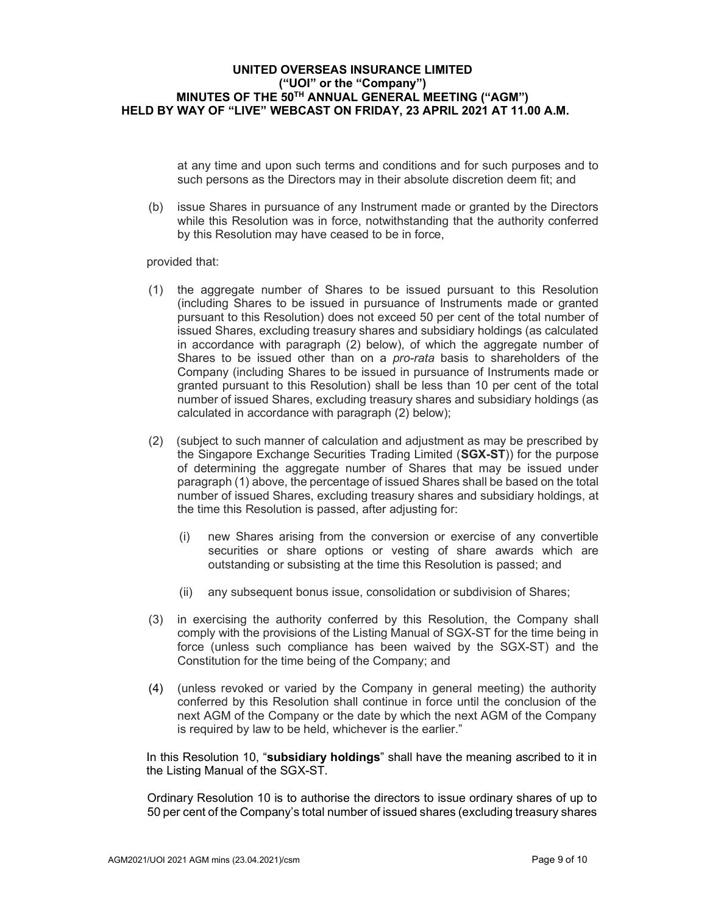at any time and upon such terms and conditions and for such purposes and to such persons as the Directors may in their absolute discretion deem fit; and

(b) issue Shares in pursuance of any Instrument made or granted by the Directors while this Resolution was in force, notwithstanding that the authority conferred by this Resolution may have ceased to be in force,

provided that:

- (1) the aggregate number of Shares to be issued pursuant to this Resolution (including Shares to be issued in pursuance of Instruments made or granted pursuant to this Resolution) does not exceed 50 per cent of the total number of issued Shares, excluding treasury shares and subsidiary holdings (as calculated in accordance with paragraph (2) below), of which the aggregate number of Shares to be issued other than on a *pro-rata* basis to shareholders of the Company (including Shares to be issued in pursuance of Instruments made or granted pursuant to this Resolution) shall be less than 10 per cent of the total number of issued Shares, excluding treasury shares and subsidiary holdings (as calculated in accordance with paragraph (2) below);
- (2) (subject to such manner of calculation and adjustment as may be prescribed by the Singapore Exchange Securities Trading Limited (SGX-ST)) for the purpose of determining the aggregate number of Shares that may be issued under paragraph (1) above, the percentage of issued Shares shall be based on the total number of issued Shares, excluding treasury shares and subsidiary holdings, at the time this Resolution is passed, after adjusting for:
	- (i) new Shares arising from the conversion or exercise of any convertible securities or share options or vesting of share awards which are outstanding or subsisting at the time this Resolution is passed; and
	- (ii) any subsequent bonus issue, consolidation or subdivision of Shares;
- (3) in exercising the authority conferred by this Resolution, the Company shall comply with the provisions of the Listing Manual of SGX-ST for the time being in force (unless such compliance has been waived by the SGX-ST) and the Constitution for the time being of the Company; and
- (4) (unless revoked or varied by the Company in general meeting) the authority conferred by this Resolution shall continue in force until the conclusion of the next AGM of the Company or the date by which the next AGM of the Company is required by law to be held, whichever is the earlier."

In this Resolution 10, "**subsidiary holdings**" shall have the meaning ascribed to it in the Listing Manual of the SGX-ST.

 Ordinary Resolution 10 is to authorise the directors to issue ordinary shares of up to 50 per cent of the Company's total number of issued shares (excluding treasury shares